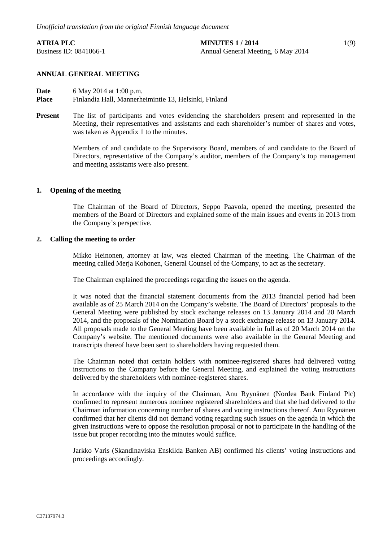# **ATRIA PLC** 1(9) Business ID: 0841066-1 Annual General Meeting, 6 May 2014

# **ANNUAL GENERAL MEETING**

**Date** 6 May 2014 at 1:00 p.m.<br>**Place** Finlandia Hall Mannerha **Place** Finlandia Hall, Mannerheimintie 13, Helsinki, Finland

**Present** The list of participants and votes evidencing the shareholders present and represented in the Meeting, their representatives and assistants and each shareholder's number of shares and votes, was taken as Appendix 1 to the minutes.

> Members of and candidate to the Supervisory Board, members of and candidate to the Board of Directors, representative of the Company's auditor, members of the Company's top management and meeting assistants were also present.

# **1. Opening of the meeting**

The Chairman of the Board of Directors, Seppo Paavola, opened the meeting, presented the members of the Board of Directors and explained some of the main issues and events in 2013 from the Company's perspective.

# **2. Calling the meeting to order**

Mikko Heinonen, attorney at law, was elected Chairman of the meeting. The Chairman of the meeting called Merja Kohonen, General Counsel of the Company, to act as the secretary.

The Chairman explained the proceedings regarding the issues on the agenda.

It was noted that the financial statement documents from the 2013 financial period had been available as of 25 March 2014 on the Company's website. The Board of Directors' proposals to the General Meeting were published by stock exchange releases on 13 January 2014 and 20 March 2014, and the proposals of the Nomination Board by a stock exchange release on 13 January 2014. All proposals made to the General Meeting have been available in full as of 20 March 2014 on the Company's website. The mentioned documents were also available in the General Meeting and transcripts thereof have been sent to shareholders having requested them.

The Chairman noted that certain holders with nominee-registered shares had delivered voting instructions to the Company before the General Meeting, and explained the voting instructions delivered by the shareholders with nominee-registered shares.

In accordance with the inquiry of the Chairman, Anu Ryynänen (Nordea Bank Finland Plc) confirmed to represent numerous nominee registered shareholders and that she had delivered to the Chairman information concerning number of shares and voting instructions thereof. Anu Ryynänen confirmed that her clients did not demand voting regarding such issues on the agenda in which the given instructions were to oppose the resolution proposal or not to participate in the handling of the issue but proper recording into the minutes would suffice.

Jarkko Varis (Skandinaviska Enskilda Banken AB) confirmed his clients' voting instructions and proceedings accordingly.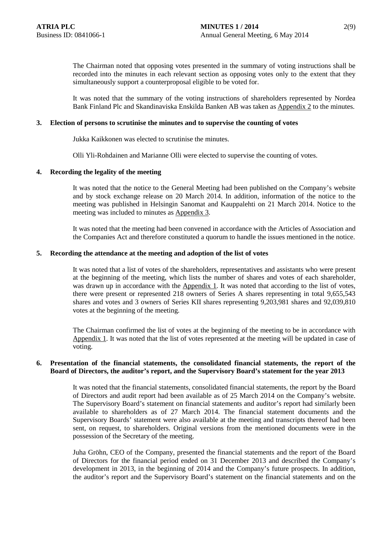The Chairman noted that opposing votes presented in the summary of voting instructions shall be recorded into the minutes in each relevant section as opposing votes only to the extent that they simultaneously support a counterproposal eligible to be voted for.

It was noted that the summary of the voting instructions of shareholders represented by Nordea Bank Finland Plc and Skandinaviska Enskilda Banken AB was taken as Appendix 2 to the minutes.

# **3. Election of persons to scrutinise the minutes and to supervise the counting of votes**

Jukka Kaikkonen was elected to scrutinise the minutes.

Olli Yli-Rohdainen and Marianne Olli were elected to supervise the counting of votes.

# **4. Recording the legality of the meeting**

It was noted that the notice to the General Meeting had been published on the Company's website and by stock exchange release on 20 March 2014. In addition, information of the notice to the meeting was published in Helsingin Sanomat and Kauppalehti on 21 March 2014. Notice to the meeting was included to minutes as Appendix 3.

It was noted that the meeting had been convened in accordance with the Articles of Association and the Companies Act and therefore constituted a quorum to handle the issues mentioned in the notice.

# **5. Recording the attendance at the meeting and adoption of the list of votes**

It was noted that a list of votes of the shareholders, representatives and assistants who were present at the beginning of the meeting, which lists the number of shares and votes of each shareholder, was drawn up in accordance with the Appendix 1. It was noted that according to the list of votes, there were present or represented 218 owners of Series A shares representing in total 9,655,543 shares and votes and 3 owners of Series KII shares representing 9,203,981 shares and 92,039,810 votes at the beginning of the meeting.

The Chairman confirmed the list of votes at the beginning of the meeting to be in accordance with Appendix 1. It was noted that the list of votes represented at the meeting will be updated in case of voting.

# **6. Presentation of the financial statements, the consolidated financial statements, the report of the Board of Directors, the auditor's report, and the Supervisory Board's statement for the year 2013**

It was noted that the financial statements, consolidated financial statements, the report by the Board of Directors and audit report had been available as of 25 March 2014 on the Company's website. The Supervisory Board's statement on financial statements and auditor's report had similarly been available to shareholders as of 27 March 2014. The financial statement documents and the Supervisory Boards' statement were also available at the meeting and transcripts thereof had been sent, on request, to shareholders. Original versions from the mentioned documents were in the possession of the Secretary of the meeting.

Juha Gröhn, CEO of the Company, presented the financial statements and the report of the Board of Directors for the financial period ended on 31 December 2013 and described the Company's development in 2013, in the beginning of 2014 and the Company's future prospects. In addition, the auditor's report and the Supervisory Board's statement on the financial statements and on the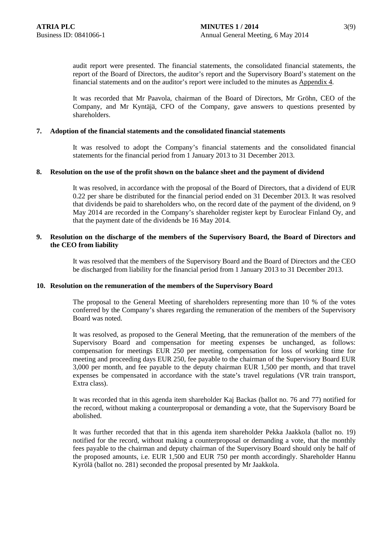audit report were presented. The financial statements, the consolidated financial statements, the report of the Board of Directors, the auditor's report and the Supervisory Board's statement on the financial statements and on the auditor's report were included to the minutes as Appendix 4.

It was recorded that Mr Paavola, chairman of the Board of Directors, Mr Gröhn, CEO of the Company, and Mr Kyntäjä, CFO of the Company, gave answers to questions presented by shareholders.

# **7. Adoption of the financial statements and the consolidated financial statements**

It was resolved to adopt the Company's financial statements and the consolidated financial statements for the financial period from 1 January 2013 to 31 December 2013.

### **8. Resolution on the use of the profit shown on the balance sheet and the payment of dividend**

It was resolved, in accordance with the proposal of the Board of Directors, that a dividend of EUR 0.22 per share be distributed for the financial period ended on 31 December 2013. It was resolved that dividends be paid to shareholders who, on the record date of the payment of the dividend, on 9 May 2014 are recorded in the Company's shareholder register kept by Euroclear Finland Oy, and that the payment date of the dividends be 16 May 2014.

# **9. Resolution on the discharge of the members of the Supervisory Board, the Board of Directors and the CEO from liability**

It was resolved that the members of the Supervisory Board and the Board of Directors and the CEO be discharged from liability for the financial period from 1 January 2013 to 31 December 2013.

# **10. Resolution on the remuneration of the members of the Supervisory Board**

The proposal to the General Meeting of shareholders representing more than 10 % of the votes conferred by the Company's shares regarding the remuneration of the members of the Supervisory Board was noted.

It was resolved, as proposed to the General Meeting, that the remuneration of the members of the Supervisory Board and compensation for meeting expenses be unchanged, as follows: compensation for meetings EUR 250 per meeting, compensation for loss of working time for meeting and proceeding days EUR 250, fee payable to the chairman of the Supervisory Board EUR 3,000 per month, and fee payable to the deputy chairman EUR 1,500 per month, and that travel expenses be compensated in accordance with the state's travel regulations (VR train transport, Extra class).

It was recorded that in this agenda item shareholder Kaj Backas (ballot no. 76 and 77) notified for the record, without making a counterproposal or demanding a vote, that the Supervisory Board be abolished.

It was further recorded that that in this agenda item shareholder Pekka Jaakkola (ballot no. 19) notified for the record, without making a counterproposal or demanding a vote, that the monthly fees payable to the chairman and deputy chairman of the Supervisory Board should only be half of the proposed amounts, i.e. EUR 1,500 and EUR 750 per month accordingly. Shareholder Hannu Kyrölä (ballot no. 281) seconded the proposal presented by Mr Jaakkola.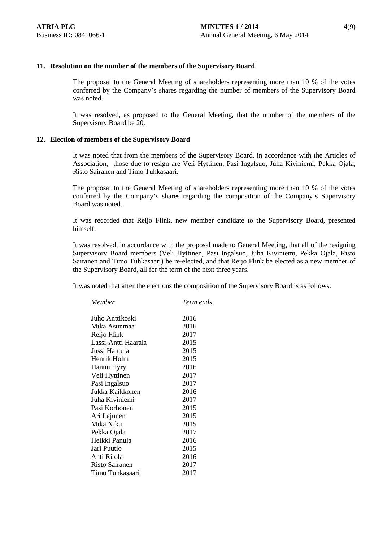The proposal to the General Meeting of shareholders representing more than 10 % of the votes conferred by the Company's shares regarding the number of members of the Supervisory Board was noted.

It was resolved, as proposed to the General Meeting, that the number of the members of the Supervisory Board be 20.

# **12. Election of members of the Supervisory Board**

It was noted that from the members of the Supervisory Board, in accordance with the Articles of Association, those due to resign are Veli Hyttinen, Pasi Ingalsuo, Juha Kiviniemi, Pekka Ojala, Risto Sairanen and Timo Tuhkasaari.

The proposal to the General Meeting of shareholders representing more than 10 % of the votes conferred by the Company's shares regarding the composition of the Company's Supervisory Board was noted.

It was recorded that Reijo Flink, new member candidate to the Supervisory Board, presented himself.

It was resolved, in accordance with the proposal made to General Meeting, that all of the resigning Supervisory Board members (Veli Hyttinen, Pasi Ingalsuo, Juha Kiviniemi, Pekka Ojala, Risto Sairanen and Timo Tuhkasaari) be re-elected, and that Reijo Flink be elected as a new member of the Supervisory Board, all for the term of the next three years.

It was noted that after the elections the composition of the Supervisory Board is as follows:

| Term ends |
|-----------|
| 2016      |
| 2016      |
| 2017      |
| 2015      |
| 2015      |
| 2015      |
| 2016      |
| 2017      |
| 2017      |
| 2016      |
| 2017      |
| 2015      |
| 2015      |
| 2015      |
| 2017      |
| 2016      |
| 2015      |
| 2016      |
| 2017      |
| 2017      |
|           |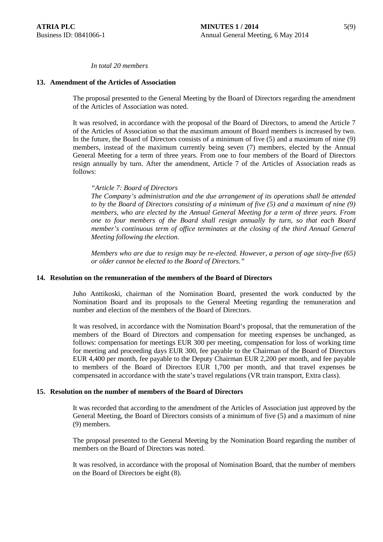# *In total 20 members*

# **13. Amendment of the Articles of Association**

The proposal presented to the General Meeting by the Board of Directors regarding the amendment of the Articles of Association was noted.

It was resolved, in accordance with the proposal of the Board of Directors, to amend the Article 7 of the Articles of Association so that the maximum amount of Board members is increased by two. In the future, the Board of Directors consists of a minimum of five (5) and a maximum of nine (9) members, instead of the maximum currently being seven (7) members, elected by the Annual General Meeting for a term of three years. From one to four members of the Board of Directors resign annually by turn. After the amendment, Article 7 of the Articles of Association reads as follows:

### *"Article 7: Board of Directors*

*The Company's administration and the due arrangement of its operations shall be attended to by the Board of Directors consisting of a minimum of five (5) and a maximum of nine (9) members, who are elected by the Annual General Meeting for a term of three years. From one to four members of the Board shall resign annually by turn, so that each Board member's continuous term of office terminates at the closing of the third Annual General Meeting following the election.*

*Members who are due to resign may be re-elected. However, a person of age sixty-five (65) or older cannot be elected to the Board of Directors."*

# **14. Resolution on the remuneration of the members of the Board of Directors**

Juho Anttikoski, chairman of the Nomination Board, presented the work conducted by the Nomination Board and its proposals to the General Meeting regarding the remuneration and number and election of the members of the Board of Directors.

It was resolved, in accordance with the Nomination Board's proposal, that the remuneration of the members of the Board of Directors and compensation for meeting expenses be unchanged, as follows: compensation for meetings EUR 300 per meeting, compensation for loss of working time for meeting and proceeding days EUR 300, fee payable to the Chairman of the Board of Directors EUR 4,400 per month, fee payable to the Deputy Chairman EUR 2,200 per month, and fee payable to members of the Board of Directors EUR 1,700 per month, and that travel expenses be compensated in accordance with the state's travel regulations (VR train transport, Extra class).

### **15. Resolution on the number of members of the Board of Directors**

It was recorded that according to the amendment of the Articles of Association just approved by the General Meeting, the Board of Directors consists of a minimum of five (5) and a maximum of nine (9) members.

The proposal presented to the General Meeting by the Nomination Board regarding the number of members on the Board of Directors was noted.

It was resolved, in accordance with the proposal of Nomination Board, that the number of members on the Board of Directors be eight (8).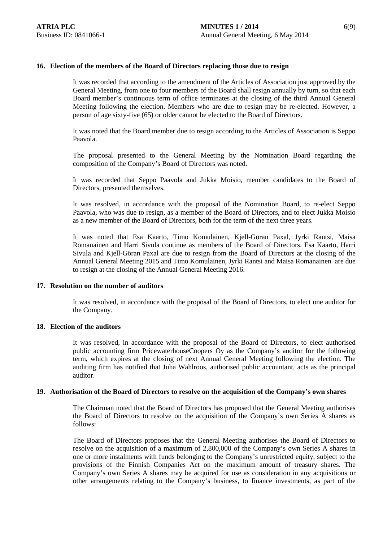# **16. Election of the members of the Board of Directors replacing those due to resign**

It was recorded that according to the amendment of the Articles of Association just approved by the General Meeting, from one to four members of the Board shall resign annually by turn, so that each Board member's continuous term of office terminates at the closing of the third Annual General Meeting following the election. Members who are due to resign may be re-elected. However, a person of age sixty-five (65) or older cannot be elected to the Board of Directors.

It was noted that the Board member due to resign according to the Articles of Association is Seppo Paavola.

The proposal presented to the General Meeting by the Nomination Board regarding the composition of the Company's Board of Directors was noted.

It was recorded that Seppo Paavola and Jukka Moisio, member candidates to the Board of Directors, presented themselves.

It was resolved, in accordance with the proposal of the Nomination Board, to re-elect Seppo Paavola, who was due to resign, as a member of the Board of Directors, and to elect Jukka Moisio as a new member of the Board of Directors, both for the term of the next three years.

It was noted that Esa Kaarto, Timo Komulainen, Kjell-Göran Paxal, Jyrki Rantsi, Maisa Romanainen and Harri Sivula continue as members of the Board of Directors. Esa Kaarto, Harri Sivula and Kjell-Göran Paxal are due to resign from the Board of Directors at the closing of the Annual General Meeting 2015 and Timo Komulainen, Jyrki Rantsi and Maisa Romanainen are due to resign at the closing of the Annual General Meeting 2016.

# **17. Resolution on the number of auditors**

It was resolved, in accordance with the proposal of the Board of Directors, to elect one auditor for the Company.

# **18. Election of the auditors**

It was resolved, in accordance with the proposal of the Board of Directors, to elect authorised public accounting firm PricewaterhouseCoopers Oy as the Company's auditor for the following term, which expires at the closing of next Annual General Meeting following the election. The auditing firm has notified that Juha Wahlroos, authorised public accountant, acts as the principal auditor.

# **19. Authorisation of the Board of Directors to resolve on the acquisition of the Company's own shares**

The Chairman noted that the Board of Directors has proposed that the General Meeting authorises the Board of Directors to resolve on the acquisition of the Company's own Series A shares as follows:

The Board of Directors proposes that the General Meeting authorises the Board of Directors to resolve on the acquisition of a maximum of 2,800,000 of the Company's own Series A shares in one or more instalments with funds belonging to the Company's unrestricted equity, subject to the provisions of the Finnish Companies Act on the maximum amount of treasury shares. The Company's own Series A shares may be acquired for use as consideration in any acquisitions or other arrangements relating to the Company's business, to finance investments, as part of the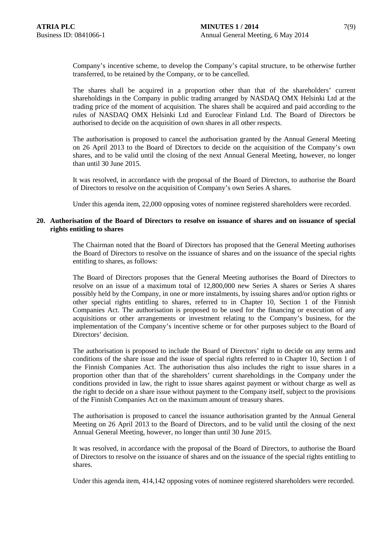Company's incentive scheme, to develop the Company's capital structure, to be otherwise further transferred, to be retained by the Company, or to be cancelled.

The shares shall be acquired in a proportion other than that of the shareholders' current shareholdings in the Company in public trading arranged by NASDAQ OMX Helsinki Ltd at the trading price of the moment of acquisition. The shares shall be acquired and paid according to the rules of NASDAQ OMX Helsinki Ltd and Euroclear Finland Ltd. The Board of Directors be authorised to decide on the acquisition of own shares in all other respects.

The authorisation is proposed to cancel the authorisation granted by the Annual General Meeting on 26 April 2013 to the Board of Directors to decide on the acquisition of the Company's own shares, and to be valid until the closing of the next Annual General Meeting, however, no longer than until 30 June 2015.

It was resolved, in accordance with the proposal of the Board of Directors, to authorise the Board of Directors to resolve on the acquisition of Company's own Series A shares.

Under this agenda item, 22,000 opposing votes of nominee registered shareholders were recorded.

# **20. Authorisation of the Board of Directors to resolve on issuance of shares and on issuance of special rights entitling to shares**

The Chairman noted that the Board of Directors has proposed that the General Meeting authorises the Board of Directors to resolve on the issuance of shares and on the issuance of the special rights entitling to shares, as follows:

The Board of Directors proposes that the General Meeting authorises the Board of Directors to resolve on an issue of a maximum total of 12,800,000 new Series A shares or Series A shares possibly held by the Company, in one or more instalments, by issuing shares and/or option rights or other special rights entitling to shares, referred to in Chapter 10, Section 1 of the Finnish Companies Act. The authorisation is proposed to be used for the financing or execution of any acquisitions or other arrangements or investment relating to the Company's business, for the implementation of the Company's incentive scheme or for other purposes subject to the Board of Directors' decision.

The authorisation is proposed to include the Board of Directors' right to decide on any terms and conditions of the share issue and the issue of special rights referred to in Chapter 10, Section 1 of the Finnish Companies Act. The authorisation thus also includes the right to issue shares in a proportion other than that of the shareholders' current shareholdings in the Company under the conditions provided in law, the right to issue shares against payment or without charge as well as the right to decide on a share issue without payment to the Company itself, subject to the provisions of the Finnish Companies Act on the maximum amount of treasury shares.

The authorisation is proposed to cancel the issuance authorisation granted by the Annual General Meeting on 26 April 2013 to the Board of Directors, and to be valid until the closing of the next Annual General Meeting, however, no longer than until 30 June 2015.

It was resolved, in accordance with the proposal of the Board of Directors, to authorise the Board of Directors to resolve on the issuance of shares and on the issuance of the special rights entitling to shares.

Under this agenda item, 414,142 opposing votes of nominee registered shareholders were recorded.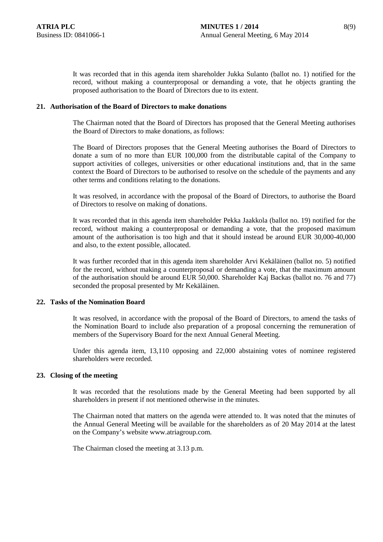It was recorded that in this agenda item shareholder Jukka Sulanto (ballot no. 1) notified for the record, without making a counterproposal or demanding a vote, that he objects granting the proposed authorisation to the Board of Directors due to its extent.

### **21. Authorisation of the Board of Directors to make donations**

The Chairman noted that the Board of Directors has proposed that the General Meeting authorises the Board of Directors to make donations, as follows:

The Board of Directors proposes that the General Meeting authorises the Board of Directors to donate a sum of no more than EUR 100,000 from the distributable capital of the Company to support activities of colleges, universities or other educational institutions and, that in the same context the Board of Directors to be authorised to resolve on the schedule of the payments and any other terms and conditions relating to the donations.

It was resolved, in accordance with the proposal of the Board of Directors, to authorise the Board of Directors to resolve on making of donations.

It was recorded that in this agenda item shareholder Pekka Jaakkola (ballot no. 19) notified for the record, without making a counterproposal or demanding a vote, that the proposed maximum amount of the authorisation is too high and that it should instead be around EUR 30,000-40,000 and also, to the extent possible, allocated.

It was further recorded that in this agenda item shareholder Arvi Kekäläinen (ballot no. 5) notified for the record, without making a counterproposal or demanding a vote, that the maximum amount of the authorisation should be around EUR 50,000. Shareholder Kaj Backas (ballot no. 76 and 77) seconded the proposal presented by Mr Kekäläinen.

# **22. Tasks of the Nomination Board**

It was resolved, in accordance with the proposal of the Board of Directors, to amend the tasks of the Nomination Board to include also preparation of a proposal concerning the remuneration of members of the Supervisory Board for the next Annual General Meeting.

Under this agenda item, 13,110 opposing and 22,000 abstaining votes of nominee registered shareholders were recorded.

### **23. Closing of the meeting**

It was recorded that the resolutions made by the General Meeting had been supported by all shareholders in present if not mentioned otherwise in the minutes.

The Chairman noted that matters on the agenda were attended to. It was noted that the minutes of the Annual General Meeting will be available for the shareholders as of 20 May 2014 at the latest on the Company's website www.atriagroup.com.

The Chairman closed the meeting at 3.13 p.m.